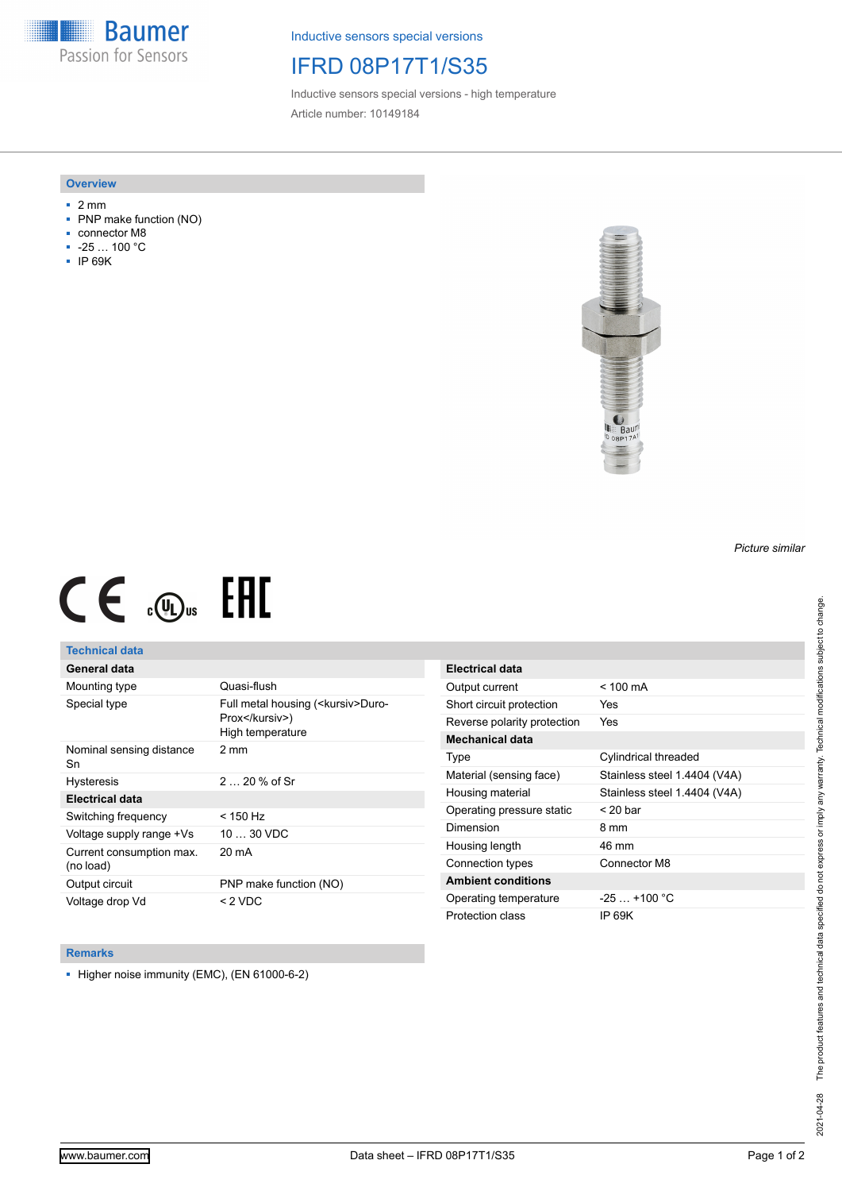**Baumer** Passion for Sensors

Inductive sensors special versions

# IFRD 08P17T1/S35

Inductive sensors special versions - high temperature Article number: 10149184

#### **Overview**

- 2 mm
- PNP make function (NO)
- connector M8
- -25 … 100 °C
- IP 69K



# $CE \mathcal{L}$  ( $\mathcal{L}$  and  $SE$

## **Technical data**

## **General data**

| Mounting type                         | Quasi-flush                                                                |
|---------------------------------------|----------------------------------------------------------------------------|
| Special type                          | Full metal housing ( <kursiv>Duro-<br/>Prox</kursiv> )<br>High temperature |
| Nominal sensing distance<br>Sn        | 2 mm                                                                       |
| <b>Hysteresis</b>                     | $220%$ of Sr                                                               |
| <b>Electrical data</b>                |                                                                            |
| Switching frequency                   | < 150 Hz                                                                   |
| Voltage supply range +Vs              | $1030$ VDC                                                                 |
| Current consumption max.<br>(no load) | 20 mA                                                                      |
| Output circuit                        | PNP make function (NO)                                                     |
| Voltage drop Vd                       | $< 2$ VDC                                                                  |

| <b>Electrical data</b>      |                              |
|-----------------------------|------------------------------|
| Output current              | $< 100 \text{ mA}$           |
| Short circuit protection    | Yes                          |
| Reverse polarity protection | Yes                          |
| Mechanical data             |                              |
| Type                        | Cylindrical threaded         |
| Material (sensing face)     | Stainless steel 1.4404 (V4A) |
| Housing material            | Stainless steel 1.4404 (V4A) |
| Operating pressure static   | $<$ 20 bar                   |
| Dimension                   | 8 mm                         |
| Housing length              | 46 mm                        |
| Connection types            | Connector M8                 |
| <b>Ambient conditions</b>   |                              |
| Operating temperature       | $-25+100 °C$                 |
| Protection class            | IP 69K                       |

#### **Remarks**

■ Higher noise immunity (EMC), (EN 61000-6-2)

*Picture similar*